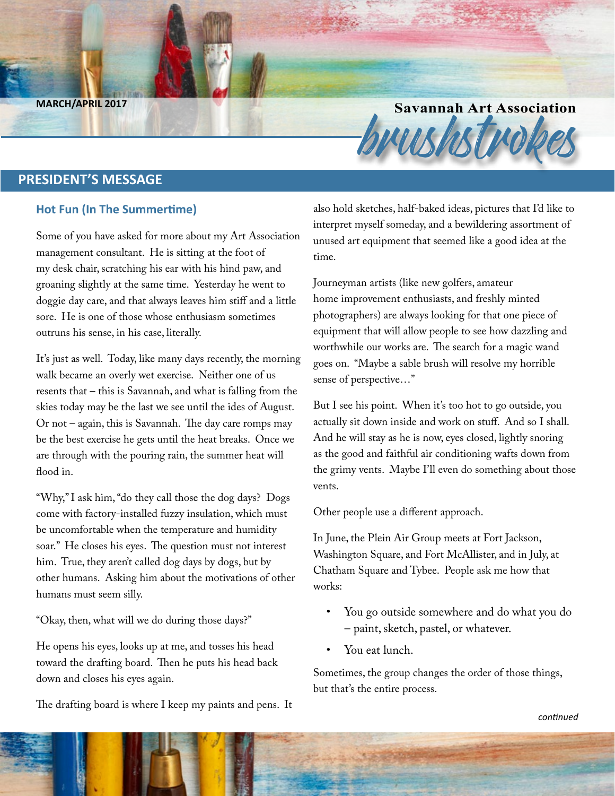**Savannah Art Association**<br>Brush Company of the MARCH/APRIL 2017

### **PRESIDENT'S MESSAGE**

#### **Hot Fun (In The Summertime)**

Some of you have asked for more about my Art Association management consultant. He is sitting at the foot of my desk chair, scratching his ear with his hind paw, and groaning slightly at the same time. Yesterday he went to doggie day care, and that always leaves him stiff and a little sore. He is one of those whose enthusiasm sometimes outruns his sense, in his case, literally.

It's just as well. Today, like many days recently, the morning walk became an overly wet exercise. Neither one of us resents that – this is Savannah, and what is falling from the skies today may be the last we see until the ides of August. Or not – again, this is Savannah. The day care romps may be the best exercise he gets until the heat breaks. Once we are through with the pouring rain, the summer heat will flood in.

"Why," I ask him, "do they call those the dog days? Dogs come with factory-installed fuzzy insulation, which must be uncomfortable when the temperature and humidity soar." He closes his eyes. The question must not interest him. True, they aren't called dog days by dogs, but by other humans. Asking him about the motivations of other humans must seem silly.

"Okay, then, what will we do during those days?"

He opens his eyes, looks up at me, and tosses his head toward the drafting board. Then he puts his head back down and closes his eyes again.

The drafting board is where I keep my paints and pens. It

also hold sketches, half-baked ideas, pictures that I'd like to interpret myself someday, and a bewildering assortment of unused art equipment that seemed like a good idea at the time.

Journeyman artists (like new golfers, amateur home improvement enthusiasts, and freshly minted photographers) are always looking for that one piece of equipment that will allow people to see how dazzling and worthwhile our works are. The search for a magic wand goes on. "Maybe a sable brush will resolve my horrible sense of perspective…"

But I see his point. When it's too hot to go outside, you actually sit down inside and work on stuff. And so I shall. And he will stay as he is now, eyes closed, lightly snoring as the good and faithful air conditioning wafts down from the grimy vents. Maybe I'll even do something about those vents.

Other people use a different approach.

In June, the Plein Air Group meets at Fort Jackson, Washington Square, and Fort McAllister, and in July, at Chatham Square and Tybee. People ask me how that works:

- You go outside somewhere and do what you do – paint, sketch, pastel, or whatever.
- You eat lunch.

Sometimes, the group changes the order of those things, but that's the entire process.

*continued*

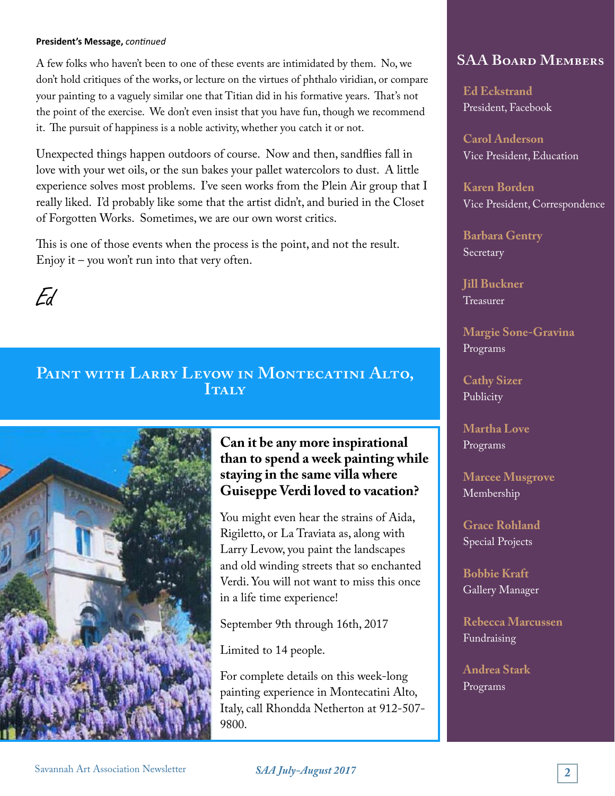#### **President's Message,** *continued*

A few folks who haven't been to one of these events are intimidated by them. No, we don't hold critiques of the works, or lecture on the virtues of phthalo viridian, or compare your painting to a vaguely similar one that Titian did in his formative years. That's not the point of the exercise. We don't even insist that you have fun, though we recommend it. The pursuit of happiness is a noble activity, whether you catch it or not.

Unexpected things happen outdoors of course. Now and then, sandflies fall in love with your wet oils, or the sun bakes your pallet watercolors to dust. A little experience solves most problems. I've seen works from the Plein Air group that I really liked. I'd probably like some that the artist didn't, and buried in the Closet of Forgotten Works. Sometimes, we are our own worst critics.

This is one of those events when the process is the point, and not the result. Enjoy it – you won't run into that very often.



### PAINT WITH LARRY LEVOW IN MONTECATINI ALTO, **ITALY**



### **Can it be any more inspirational than to spend a week painting while staying in the same villa where Guiseppe Verdi loved to vacation?**

You might even hear the strains of Aida, Rigiletto, or La Traviata as, along with Larry Levow, you paint the landscapes and old winding streets that so enchanted Verdi. You will not want to miss this once in a life time experience!

September 9th through 16th, 2017

Limited to 14 people.

For complete details on this week-long painting experience in Montecatini Alto, Italy, call Rhondda Netherton at 912-507- 9800.

### **SAA Board Members**

**Ed Eckstrand** President, Facebook

**Carol Anderson** Vice President, Education

**Karen Borden** Vice President, Correspondence

**Barbara Gentry** Secretary

**Jill Buckner** Treasurer

**Margie Sone-Gravina** Programs

**Cathy Sizer** Publicity

**Martha Love** Programs

**Marcee Musgrove** Membership

**Grace Rohland** Special Projects

**Bobbie Kraft** Gallery Manager

**Rebecca Marcussen** Fundraising

**Andrea Stark** Programs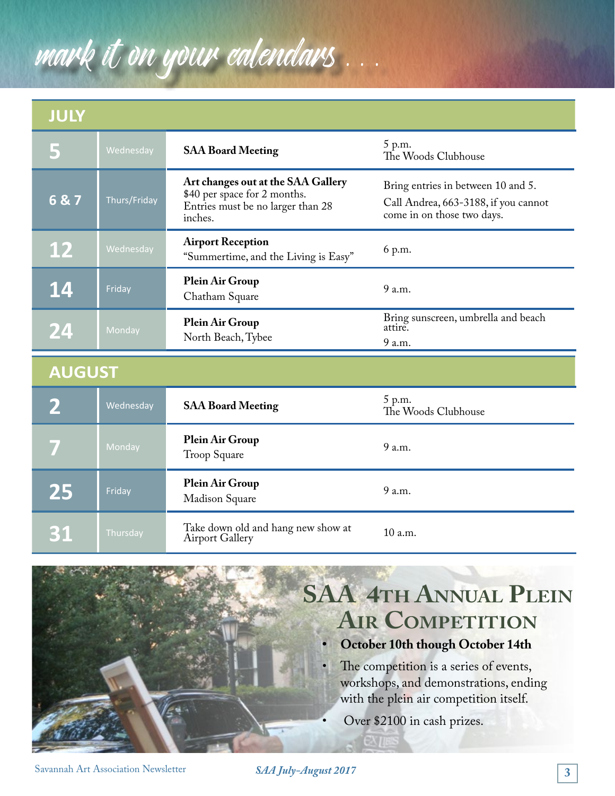# mark it on your calendars

## **JULY**

|               | Wednesday    | <b>SAA Board Meeting</b>                                                                                           | 5 p.m.<br>The Woods Clubhouse                                                                            |  |  |  |  |
|---------------|--------------|--------------------------------------------------------------------------------------------------------------------|----------------------------------------------------------------------------------------------------------|--|--|--|--|
| 6&7           | Thurs/Friday | Art changes out at the SAA Gallery<br>\$40 per space for 2 months.<br>Entries must be no larger than 28<br>inches. | Bring entries in between 10 and 5.<br>Call Andrea, 663-3188, if you cannot<br>come in on those two days. |  |  |  |  |
| <b>12</b>     | Wednesday    | <b>Airport Reception</b><br>"Summertime, and the Living is Easy"                                                   | 6 p.m.                                                                                                   |  |  |  |  |
| 14            | Friday       | Plein Air Group<br>Chatham Square                                                                                  | 9 a.m.                                                                                                   |  |  |  |  |
| 24            | Monday       | <b>Plein Air Group</b><br>North Beach, Tybee                                                                       | Bring sunscreen, umbrella and beach<br>attire.<br>9 a.m.                                                 |  |  |  |  |
| <b>AUGUST</b> |              |                                                                                                                    |                                                                                                          |  |  |  |  |
|               | Wednesday    | <b>SAA Board Meeting</b>                                                                                           | 5 p.m.<br>The Woods Clubhouse                                                                            |  |  |  |  |
|               | Monday       | <b>Plein Air Group</b><br>Troop Square                                                                             | 9 a.m.                                                                                                   |  |  |  |  |
| 25            | Friday       | Plein Air Group<br>Madison Square                                                                                  | 9 a.m.                                                                                                   |  |  |  |  |
|               |              |                                                                                                                    |                                                                                                          |  |  |  |  |

**31** Thursday Take down old and hang new show at 10 a.m.



The competition is a series of events, workshops, and demonstrations, ending with the plein air competition itself.

Over \$2100 in cash prizes.

*SAA July-August 2017* **3** Savannah Art Association Newsletter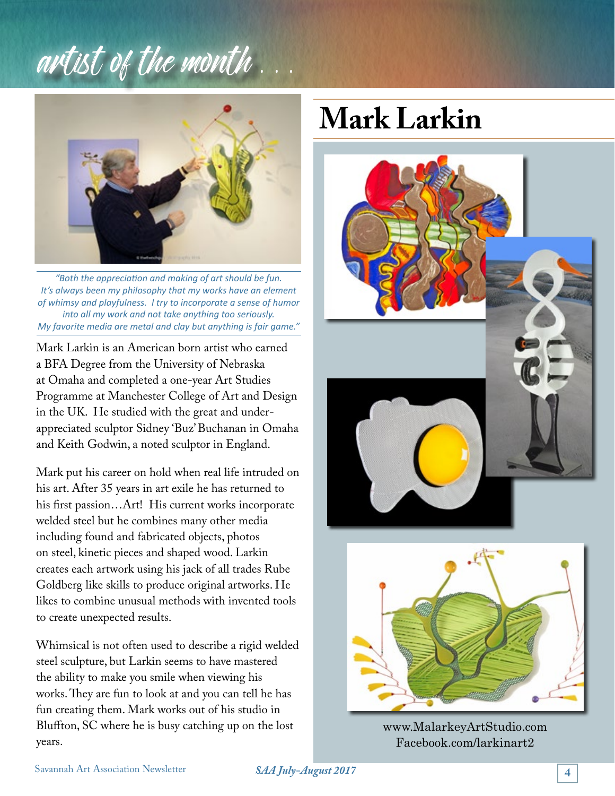# artist of the month . . .



*"Both the appreciation and making of art should be fun. It's always been my philosophy that my works have an element of whimsy and playfulness. I try to incorporate a sense of humor into all my work and not take anything too seriously. My favorite media are metal and clay but anything is fair game."*

Mark Larkin is an American born artist who earned a BFA Degree from the University of Nebraska at Omaha and completed a one-year Art Studies Programme at Manchester College of Art and Design in the UK. He studied with the great and underappreciated sculptor Sidney 'Buz' Buchanan in Omaha and Keith Godwin, a noted sculptor in England.

Mark put his career on hold when real life intruded on his art. After 35 years in art exile he has returned to his first passion…Art! His current works incorporate welded steel but he combines many other media including found and fabricated objects, photos on steel, kinetic pieces and shaped wood. Larkin creates each artwork using his jack of all trades Rube Goldberg like skills to produce original artworks. He likes to combine unusual methods with invented tools to create unexpected results.

Whimsical is not often used to describe a rigid welded steel sculpture, but Larkin seems to have mastered the ability to make you smile when viewing his works. They are fun to look at and you can tell he has fun creating them. Mark works out of his studio in Bluffton, SC where he is busy catching up on the lost years.

# **Mark Larkin**



www.MalarkeyArtStudio.com Facebook.com/larkinart2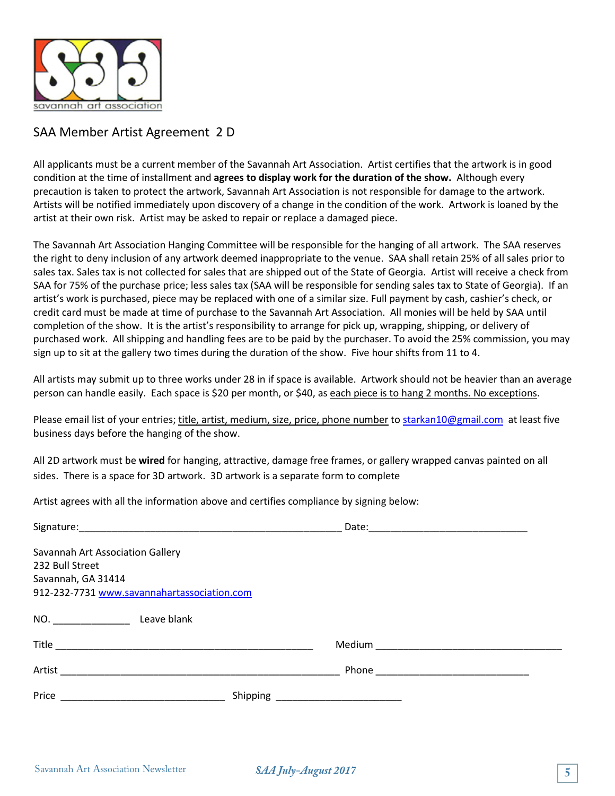

### SAA Member Artist Agreement 2 D

All applicants must be a current member of the Savannah Art Association. Artist certifies that the artwork is in good condition at the time of installment and **agrees to display work for the duration of the show.** Although every precaution is taken to protect the artwork, Savannah Art Association is not responsible for damage to the artwork. Artists will be notified immediately upon discovery of a change in the condition of the work. Artwork is loaned by the artist at their own risk. Artist may be asked to repair or replace a damaged piece.

The Savannah Art Association Hanging Committee will be responsible for the hanging of all artwork. The SAA reserves the right to deny inclusion of any artwork deemed inappropriate to the venue. SAA shall retain 25% of all sales prior to sales tax. Sales tax is not collected for sales that are shipped out of the State of Georgia. Artist will receive a check from SAA for 75% of the purchase price; less sales tax (SAA will be responsible for sending sales tax to State of Georgia). If an artist's work is purchased, piece may be replaced with one of a similar size. Full payment by cash, cashier's check, or credit card must be made at time of purchase to the Savannah Art Association. All monies will be held by SAA until completion of the show. It is the artist's responsibility to arrange for pick up, wrapping, shipping, or delivery of purchased work. All shipping and handling fees are to be paid by the purchaser. To avoid the 25% commission, you may sign up to sit at the gallery two times during the duration of the show. Five hour shifts from 11 to 4.

All artists may submit up to three works under 28 in if space is available. Artwork should not be heavier than an average person can handle easily. Each space is \$20 per month, or \$40, as each piece is to hang 2 months. No exceptions.

Please email list of your entries; title, artist, medium, size, price, phone number to starkan10@gmail.com at least five business days before the hanging of the show.

All 2D artwork must be **wired** for hanging, attractive, damage free frames, or gallery wrapped canvas painted on all sides. There is a space for 3D artwork. 3D artwork is a separate form to complete

Artist agrees with all the information above and certifies compliance by signing below:

|                                             | Date:                       |  |
|---------------------------------------------|-----------------------------|--|
| Savannah Art Association Gallery            |                             |  |
| 232 Bull Street                             |                             |  |
| Savannah, GA 31414                          |                             |  |
| 912-232-7731 www.savannahartassociation.com |                             |  |
| NO. Leave blank                             |                             |  |
|                                             | Medium ____________________ |  |
| Artist                                      |                             |  |
| Price                                       | Shipping                    |  |